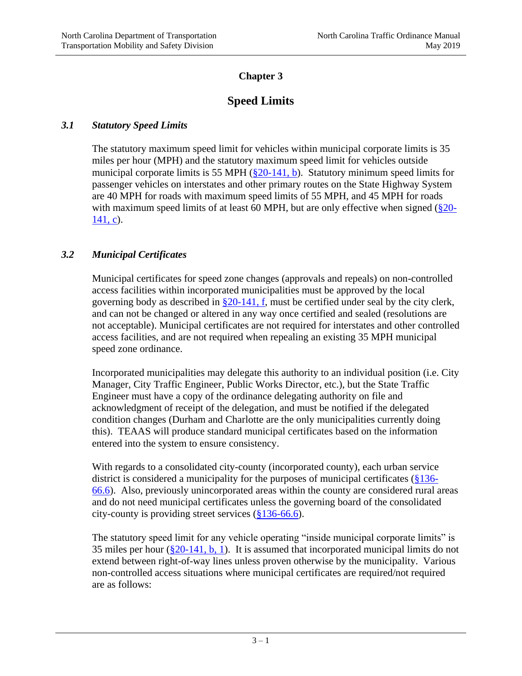# **Chapter 3**

# **Speed Limits**

# *3.1 Statutory Speed Limits*

The statutory maximum speed limit for vehicles within municipal corporate limits is 35 miles per hour (MPH) and the statutory maximum speed limit for vehicles outside municipal corporate limits is 55 MPH  $(\S 20-141, b)$ . Statutory minimum speed limits for passenger vehicles on interstates and other primary routes on the State Highway System are 40 MPH for roads with maximum speed limits of 55 MPH, and 45 MPH for roads with maximum speed limits of at least 60 MPH, but are only effective when signed  $(\S 20$ - $141, c$ ).

# *3.2 Municipal Certificates*

Municipal certificates for speed zone changes (approvals and repeals) on non-controlled access facilities within incorporated municipalities must be approved by the local governing body as described in  $\S 20-141$ , f, must be certified under seal by the city clerk, and can not be changed or altered in any way once certified and sealed (resolutions are not acceptable). Municipal certificates are not required for interstates and other controlled access facilities, and are not required when repealing an existing 35 MPH municipal speed zone ordinance.

Incorporated municipalities may delegate this authority to an individual position (i.e. City Manager, City Traffic Engineer, Public Works Director, etc.), but the State Traffic Engineer must have a copy of the ordinance delegating authority on file and acknowledgment of receipt of the delegation, and must be notified if the delegated condition changes (Durham and Charlotte are the only municipalities currently doing this). TEAAS will produce standard municipal certificates based on the information entered into the system to ensure consistency.

With regards to a consolidated city-county (incorporated county), each urban service district is considered a municipality for the purposes of municipal certificates [\(§136-](http://www.ncleg.net/gascripts/statutes/statutelookup.pl?statute=136-66.6) [66.6\)](http://www.ncleg.net/gascripts/statutes/statutelookup.pl?statute=136-66.6). Also, previously unincorporated areas within the county are considered rural areas and do not need municipal certificates unless the governing board of the consolidated city-county is providing street services [\(§136-66.6\)](http://www.ncleg.net/gascripts/statutes/statutelookup.pl?statute=136-66.6).

The statutory speed limit for any vehicle operating "inside municipal corporate limits" is 35 miles per hour  $(\S 20-141, b, 1)$ . It is assumed that incorporated municipal limits do not extend between right-of-way lines unless proven otherwise by the municipality. Various non-controlled access situations where municipal certificates are required/not required are as follows: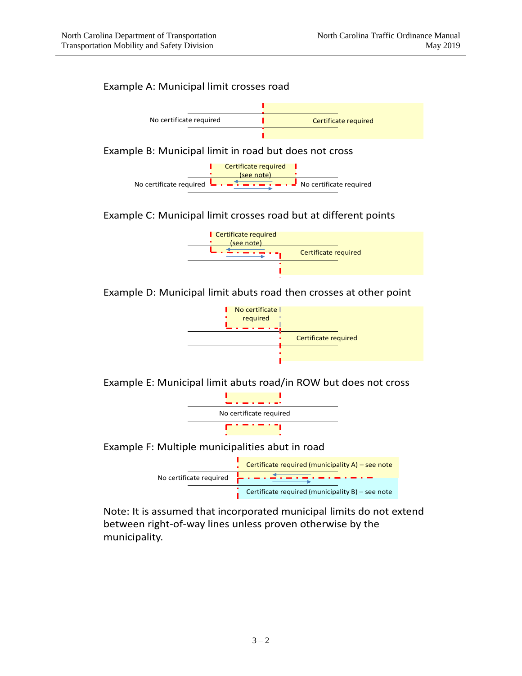# Example A: Municipal limit crosses road



# Example C: Municipal limit crosses road but at different points



Example D: Municipal limit abuts road then crosses at other point



Example E: Municipal limit abuts road/in ROW but does not cross



Example F: Multiple municipalities abut in road



Note: It is assumed that incorporated municipal limits do not extend between right-of-way lines unless proven otherwise by the municipality.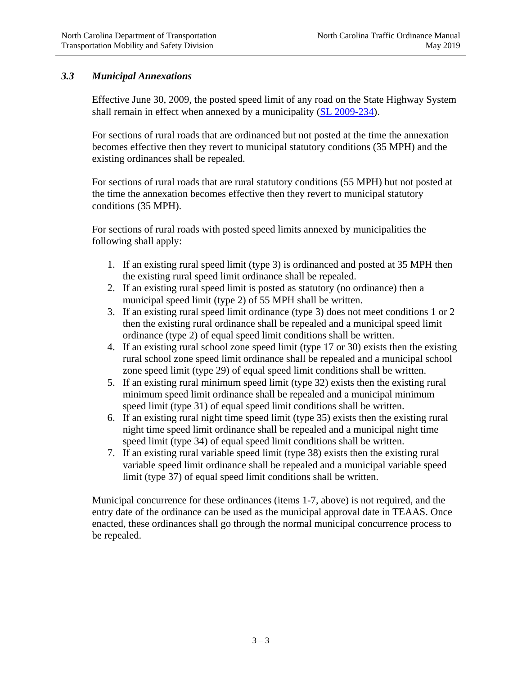# *3.3 Municipal Annexations*

Effective June 30, 2009, the posted speed limit of any road on the State Highway System shall remain in effect when annexed by a municipality [\(SL 2009-234\)](http://www.ncleg.net/Sessions/2009/Bills/Senate/PDF/S649v5.pdf).

For sections of rural roads that are ordinanced but not posted at the time the annexation becomes effective then they revert to municipal statutory conditions (35 MPH) and the existing ordinances shall be repealed.

For sections of rural roads that are rural statutory conditions (55 MPH) but not posted at the time the annexation becomes effective then they revert to municipal statutory conditions (35 MPH).

For sections of rural roads with posted speed limits annexed by municipalities the following shall apply:

- 1. If an existing rural speed limit (type 3) is ordinanced and posted at 35 MPH then the existing rural speed limit ordinance shall be repealed.
- 2. If an existing rural speed limit is posted as statutory (no ordinance) then a municipal speed limit (type 2) of 55 MPH shall be written.
- 3. If an existing rural speed limit ordinance (type 3) does not meet conditions 1 or 2 then the existing rural ordinance shall be repealed and a municipal speed limit ordinance (type 2) of equal speed limit conditions shall be written.
- 4. If an existing rural school zone speed limit (type 17 or 30) exists then the existing rural school zone speed limit ordinance shall be repealed and a municipal school zone speed limit (type 29) of equal speed limit conditions shall be written.
- 5. If an existing rural minimum speed limit (type 32) exists then the existing rural minimum speed limit ordinance shall be repealed and a municipal minimum speed limit (type 31) of equal speed limit conditions shall be written.
- 6. If an existing rural night time speed limit (type 35) exists then the existing rural night time speed limit ordinance shall be repealed and a municipal night time speed limit (type 34) of equal speed limit conditions shall be written.
- 7. If an existing rural variable speed limit (type 38) exists then the existing rural variable speed limit ordinance shall be repealed and a municipal variable speed limit (type 37) of equal speed limit conditions shall be written.

Municipal concurrence for these ordinances (items 1-7, above) is not required, and the entry date of the ordinance can be used as the municipal approval date in TEAAS. Once enacted, these ordinances shall go through the normal municipal concurrence process to be repealed.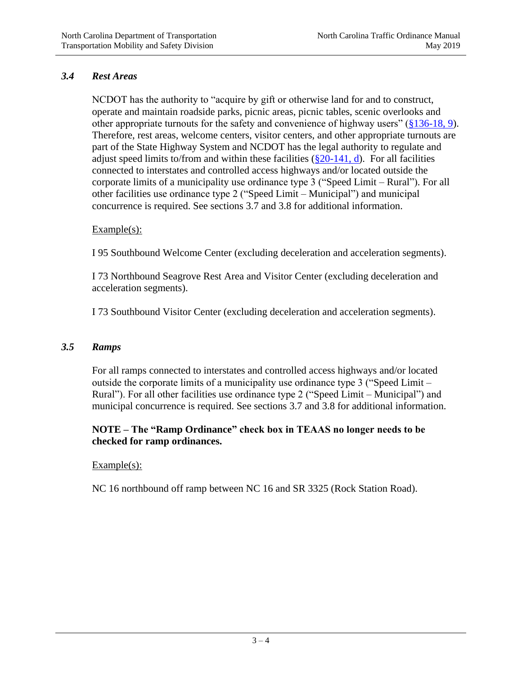# *3.4 Rest Areas*

NCDOT has the authority to "acquire by gift or otherwise land for and to construct, operate and maintain roadside parks, picnic areas, picnic tables, scenic overlooks and other appropriate turnouts for the safety and convenience of highway users" [\(§136-18, 9\)](http://www.ncleg.net/gascripts/statutes/statutelookup.pl?statute=136-18). Therefore, rest areas, welcome centers, visitor centers, and other appropriate turnouts are part of the State Highway System and NCDOT has the legal authority to regulate and adjust speed limits to/from and within these facilities  $(\frac{820-141}{10})$ . For all facilities connected to interstates and controlled access highways and/or located outside the corporate limits of a municipality use ordinance type 3 ("Speed Limit – Rural"). For all other facilities use ordinance type 2 ("Speed Limit – Municipal") and municipal concurrence is required. See sections 3.7 and 3.8 for additional information.

### Example(s):

I 95 Southbound Welcome Center (excluding deceleration and acceleration segments).

I 73 Northbound Seagrove Rest Area and Visitor Center (excluding deceleration and acceleration segments).

I 73 Southbound Visitor Center (excluding deceleration and acceleration segments).

### *3.5 Ramps*

For all ramps connected to interstates and controlled access highways and/or located outside the corporate limits of a municipality use ordinance type 3 ("Speed Limit – Rural"). For all other facilities use ordinance type 2 ("Speed Limit – Municipal") and municipal concurrence is required. See sections 3.7 and 3.8 for additional information.

# **NOTE – The "Ramp Ordinance" check box in TEAAS no longer needs to be checked for ramp ordinances.**

### Example(s):

NC 16 northbound off ramp between NC 16 and SR 3325 (Rock Station Road).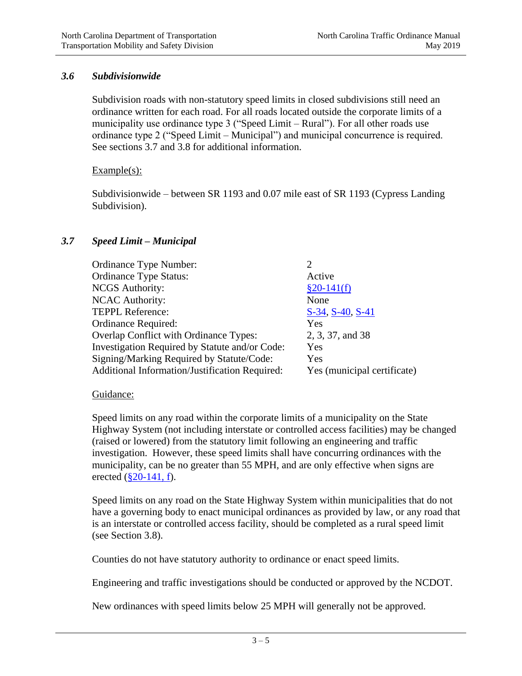### *3.6 Subdivisionwide*

Subdivision roads with non-statutory speed limits in closed subdivisions still need an ordinance written for each road. For all roads located outside the corporate limits of a municipality use ordinance type 3 ("Speed Limit – Rural"). For all other roads use ordinance type 2 ("Speed Limit – Municipal") and municipal concurrence is required. See sections 3.7 and 3.8 for additional information.

### Example(s):

Subdivisionwide – between SR 1193 and 0.07 mile east of SR 1193 (Cypress Landing Subdivision).

# *3.7 Speed Limit – Municipal*

| Ordinance Type Number:                         | 2                           |
|------------------------------------------------|-----------------------------|
| <b>Ordinance Type Status:</b>                  | Active                      |
| <b>NCGS</b> Authority:                         | $§20-141(f)$                |
| <b>NCAC Authority:</b>                         | None                        |
| <b>TEPPL Reference:</b>                        | $S-34, S-40, S-41$          |
| Ordinance Required:                            | Yes                         |
| Overlap Conflict with Ordinance Types:         | 2, 3, 37, and 38            |
| Investigation Required by Statute and/or Code: | Yes                         |
| Signing/Marking Required by Statute/Code:      | Yes                         |
| Additional Information/Justification Required: | Yes (municipal certificate) |
|                                                |                             |

### Guidance:

Speed limits on any road within the corporate limits of a municipality on the State Highway System (not including interstate or controlled access facilities) may be changed (raised or lowered) from the statutory limit following an engineering and traffic investigation. However, these speed limits shall have concurring ordinances with the municipality, can be no greater than 55 MPH, and are only effective when signs are erected  $(\S 20 - 141, f)$ .

Speed limits on any road on the State Highway System within municipalities that do not have a governing body to enact municipal ordinances as provided by law, or any road that is an interstate or controlled access facility, should be completed as a rural speed limit (see Section 3.8).

Counties do not have statutory authority to ordinance or enact speed limits.

Engineering and traffic investigations should be conducted or approved by the NCDOT.

New ordinances with speed limits below 25 MPH will generally not be approved.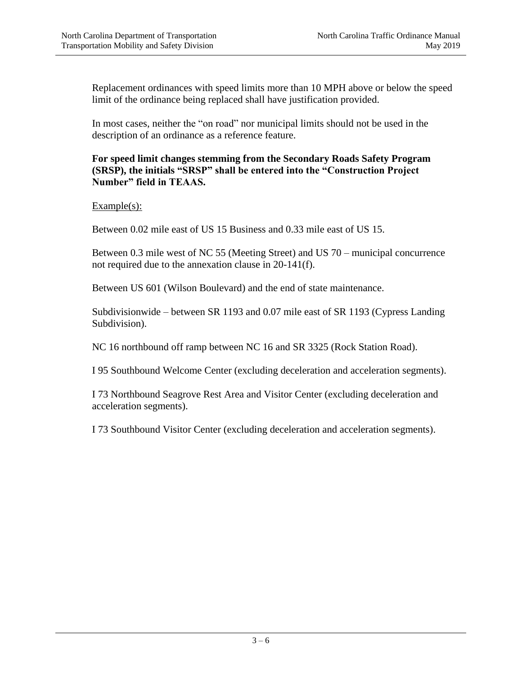Replacement ordinances with speed limits more than 10 MPH above or below the speed limit of the ordinance being replaced shall have justification provided.

In most cases, neither the "on road" nor municipal limits should not be used in the description of an ordinance as a reference feature.

**For speed limit changes stemming from the Secondary Roads Safety Program (SRSP), the initials "SRSP" shall be entered into the "Construction Project Number" field in TEAAS.**

 $Example(s)$ :

Between 0.02 mile east of US 15 Business and 0.33 mile east of US 15.

Between 0.3 mile west of NC 55 (Meeting Street) and US 70 – municipal concurrence not required due to the annexation clause in 20-141(f).

Between US 601 (Wilson Boulevard) and the end of state maintenance.

Subdivisionwide – between SR 1193 and 0.07 mile east of SR 1193 (Cypress Landing Subdivision).

NC 16 northbound off ramp between NC 16 and SR 3325 (Rock Station Road).

I 95 Southbound Welcome Center (excluding deceleration and acceleration segments).

I 73 Northbound Seagrove Rest Area and Visitor Center (excluding deceleration and acceleration segments).

I 73 Southbound Visitor Center (excluding deceleration and acceleration segments).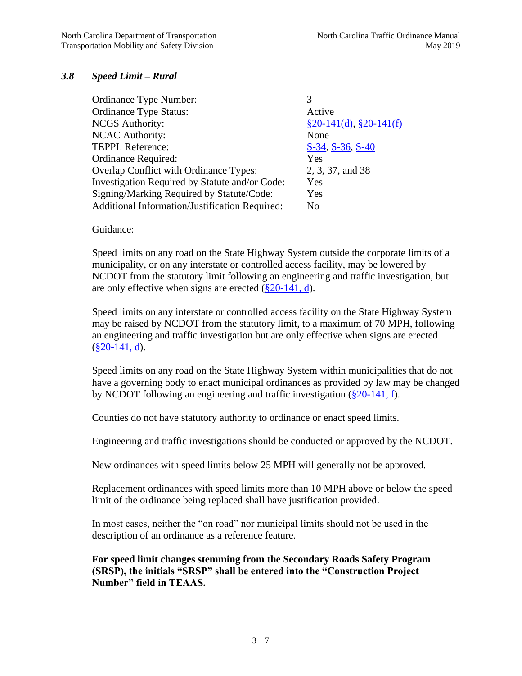# *3.8 Speed Limit – Rural*

| Active                       |
|------------------------------|
| $\S 20-141(d), \S 20-141(f)$ |
| None                         |
| S-34, S-36, S-40             |
| Yes                          |
| 2, 3, 37, and 38             |
| Yes                          |
| Yes                          |
| No                           |
|                              |

#### Guidance:

Speed limits on any road on the State Highway System outside the corporate limits of a municipality, or on any interstate or controlled access facility, may be lowered by NCDOT from the statutory limit following an engineering and traffic investigation, but are only effective when signs are erected  $(\frac{820-141}{, d})$ .

Speed limits on any interstate or controlled access facility on the State Highway System may be raised by NCDOT from the statutory limit, to a maximum of 70 MPH, following an engineering and traffic investigation but are only effective when signs are erected  $(\$20-141, d)$ .

Speed limits on any road on the State Highway System within municipalities that do not have a governing body to enact municipal ordinances as provided by law may be changed by NCDOT following an engineering and traffic investigation [\(§20-141, f\)](http://www.ncleg.net/gascripts/statutes/statutelookup.pl?statute=20-141).

Counties do not have statutory authority to ordinance or enact speed limits.

Engineering and traffic investigations should be conducted or approved by the NCDOT.

New ordinances with speed limits below 25 MPH will generally not be approved.

Replacement ordinances with speed limits more than 10 MPH above or below the speed limit of the ordinance being replaced shall have justification provided.

In most cases, neither the "on road" nor municipal limits should not be used in the description of an ordinance as a reference feature.

**For speed limit changes stemming from the Secondary Roads Safety Program (SRSP), the initials "SRSP" shall be entered into the "Construction Project Number" field in TEAAS.**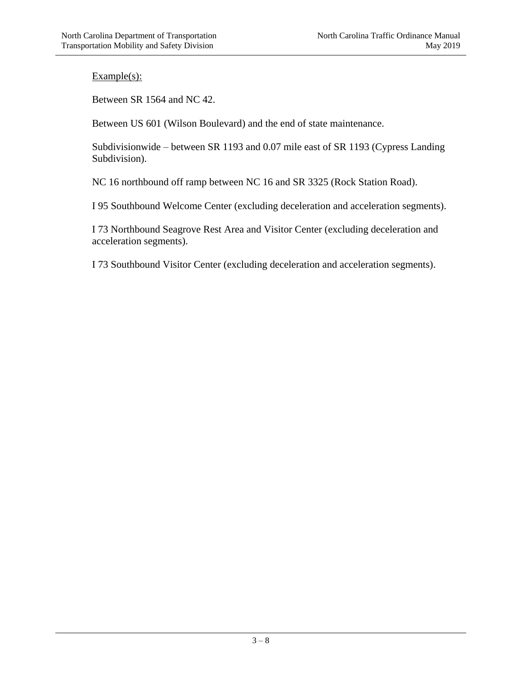Between SR 1564 and NC 42.

Between US 601 (Wilson Boulevard) and the end of state maintenance.

Subdivisionwide – between SR 1193 and 0.07 mile east of SR 1193 (Cypress Landing Subdivision).

NC 16 northbound off ramp between NC 16 and SR 3325 (Rock Station Road).

I 95 Southbound Welcome Center (excluding deceleration and acceleration segments).

I 73 Northbound Seagrove Rest Area and Visitor Center (excluding deceleration and acceleration segments).

I 73 Southbound Visitor Center (excluding deceleration and acceleration segments).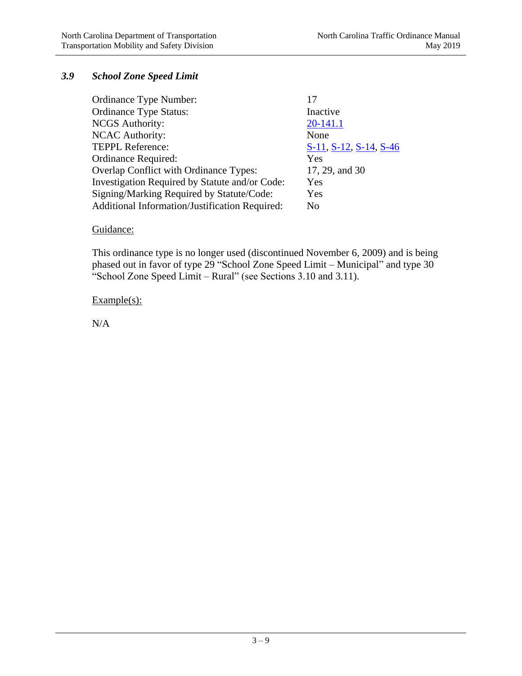# *3.9 School Zone Speed Limit*

| Ordinance Type Number:                         |                        |
|------------------------------------------------|------------------------|
| <b>Ordinance Type Status:</b>                  | Inactive               |
| <b>NCGS</b> Authority:                         | 20-141.1               |
| <b>NCAC Authority:</b>                         | None                   |
| <b>TEPPL Reference:</b>                        | S-11, S-12, S-14, S-46 |
| Ordinance Required:                            | Yes                    |
| Overlap Conflict with Ordinance Types:         | 17, 29, and 30         |
| Investigation Required by Statute and/or Code: | Yes                    |
| Signing/Marking Required by Statute/Code:      | Yes                    |
| Additional Information/Justification Required: | No.                    |
|                                                |                        |

### Guidance:

This ordinance type is no longer used (discontinued November 6, 2009) and is being phased out in favor of type 29 "School Zone Speed Limit – Municipal" and type 30 "School Zone Speed Limit – Rural" (see Sections 3.10 and 3.11).

#### Example(s):

N/A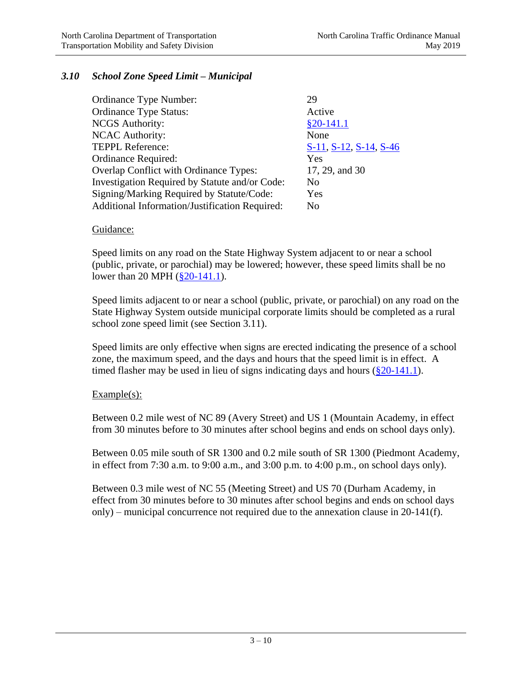# *3.10 School Zone Speed Limit – Municipal*

| Ordinance Type Number:                         | 29                     |
|------------------------------------------------|------------------------|
| <b>Ordinance Type Status:</b>                  | Active                 |
| <b>NCGS</b> Authority:                         | $§20-141.1$            |
| <b>NCAC Authority:</b>                         | None                   |
| <b>TEPPL Reference:</b>                        | S-11, S-12, S-14, S-46 |
| Ordinance Required:                            | Yes                    |
| Overlap Conflict with Ordinance Types:         | 17, 29, and 30         |
| Investigation Required by Statute and/or Code: | N <sub>0</sub>         |
| Signing/Marking Required by Statute/Code:      | Yes                    |
| Additional Information/Justification Required: | No                     |

#### Guidance:

Speed limits on any road on the State Highway System adjacent to or near a school (public, private, or parochial) may be lowered; however, these speed limits shall be no lower than 20 MPH (\$20-141.1).

Speed limits adjacent to or near a school (public, private, or parochial) on any road on the State Highway System outside municipal corporate limits should be completed as a rural school zone speed limit (see Section 3.11).

Speed limits are only effective when signs are erected indicating the presence of a school zone, the maximum speed, and the days and hours that the speed limit is in effect. A timed flasher may be used in lieu of signs indicating days and hours  $(\frac{8}{20} - 141.1)$ .

### Example(s):

Between 0.2 mile west of NC 89 (Avery Street) and US 1 (Mountain Academy, in effect from 30 minutes before to 30 minutes after school begins and ends on school days only).

Between 0.05 mile south of SR 1300 and 0.2 mile south of SR 1300 (Piedmont Academy, in effect from 7:30 a.m. to 9:00 a.m., and 3:00 p.m. to 4:00 p.m., on school days only).

Between 0.3 mile west of NC 55 (Meeting Street) and US 70 (Durham Academy, in effect from 30 minutes before to 30 minutes after school begins and ends on school days only) – municipal concurrence not required due to the annexation clause in 20-141(f).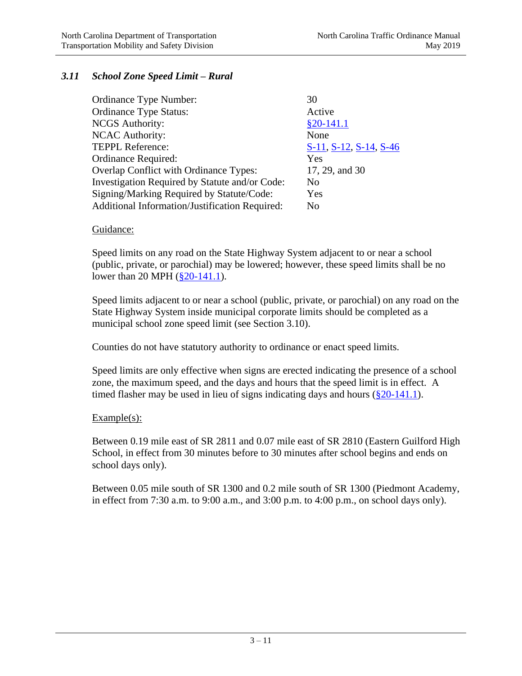# *3.11 School Zone Speed Limit – Rural*

| Ordinance Type Number:                         | 30                     |
|------------------------------------------------|------------------------|
| <b>Ordinance Type Status:</b>                  | Active                 |
| <b>NCGS</b> Authority:                         | $§20-141.1$            |
| <b>NCAC Authority:</b>                         | None                   |
| <b>TEPPL Reference:</b>                        | S-11, S-12, S-14, S-46 |
| Ordinance Required:                            | Yes                    |
| Overlap Conflict with Ordinance Types:         | 17, 29, and 30         |
| Investigation Required by Statute and/or Code: | No                     |
| Signing/Marking Required by Statute/Code:      | Yes                    |
| Additional Information/Justification Required: | No                     |

#### Guidance:

Speed limits on any road on the State Highway System adjacent to or near a school (public, private, or parochial) may be lowered; however, these speed limits shall be no lower than 20 MPH ( $\S 20$ -141.1).

Speed limits adjacent to or near a school (public, private, or parochial) on any road on the State Highway System inside municipal corporate limits should be completed as a municipal school zone speed limit (see Section 3.10).

Counties do not have statutory authority to ordinance or enact speed limits.

Speed limits are only effective when signs are erected indicating the presence of a school zone, the maximum speed, and the days and hours that the speed limit is in effect. A timed flasher may be used in lieu of signs indicating days and hours  $(\S 20-141.1)$ .

### Example(s):

Between 0.19 mile east of SR 2811 and 0.07 mile east of SR 2810 (Eastern Guilford High School, in effect from 30 minutes before to 30 minutes after school begins and ends on school days only).

Between 0.05 mile south of SR 1300 and 0.2 mile south of SR 1300 (Piedmont Academy, in effect from 7:30 a.m. to 9:00 a.m., and 3:00 p.m. to 4:00 p.m., on school days only).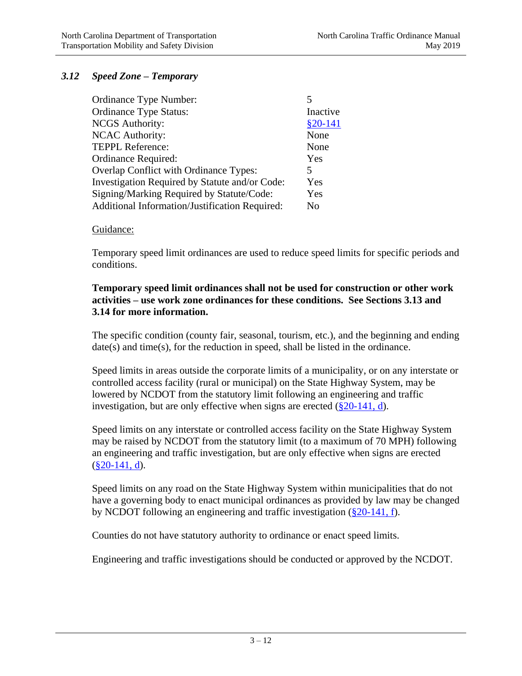# *3.12 Speed Zone – Temporary*

| Ordinance Type Number:                         |           |
|------------------------------------------------|-----------|
| <b>Ordinance Type Status:</b>                  | Inactive  |
| <b>NCGS</b> Authority:                         | $§20-141$ |
| <b>NCAC</b> Authority:                         | None      |
| <b>TEPPL Reference:</b>                        | None      |
| Ordinance Required:                            | Yes       |
| Overlap Conflict with Ordinance Types:         | 5         |
| Investigation Required by Statute and/or Code: | Yes       |
| Signing/Marking Required by Statute/Code:      | Yes       |
| Additional Information/Justification Required: | No        |

#### Guidance:

Temporary speed limit ordinances are used to reduce speed limits for specific periods and conditions.

#### **Temporary speed limit ordinances shall not be used for construction or other work activities – use work zone ordinances for these conditions. See Sections 3.13 and 3.14 for more information.**

The specific condition (county fair, seasonal, tourism, etc.), and the beginning and ending date(s) and time(s), for the reduction in speed, shall be listed in the ordinance.

Speed limits in areas outside the corporate limits of a municipality, or on any interstate or controlled access facility (rural or municipal) on the State Highway System, may be lowered by NCDOT from the statutory limit following an engineering and traffic investigation, but are only effective when signs are erected [\(§20-141, d\)](http://www.ncleg.net/gascripts/statutes/statutelookup.pl?statute=20-141).

Speed limits on any interstate or controlled access facility on the State Highway System may be raised by NCDOT from the statutory limit (to a maximum of 70 MPH) following an engineering and traffic investigation, but are only effective when signs are erected  $(\$20-141, d)$ .

Speed limits on any road on the State Highway System within municipalities that do not have a governing body to enact municipal ordinances as provided by law may be changed by NCDOT following an engineering and traffic investigation [\(§20-141, f\)](http://www.ncleg.net/gascripts/statutes/statutelookup.pl?statute=20-141).

Counties do not have statutory authority to ordinance or enact speed limits.

Engineering and traffic investigations should be conducted or approved by the NCDOT.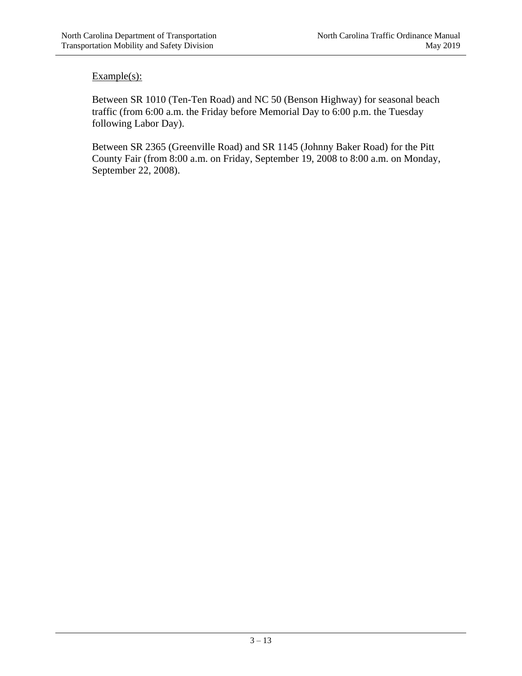Between SR 1010 (Ten-Ten Road) and NC 50 (Benson Highway) for seasonal beach traffic (from 6:00 a.m. the Friday before Memorial Day to 6:00 p.m. the Tuesday following Labor Day).

Between SR 2365 (Greenville Road) and SR 1145 (Johnny Baker Road) for the Pitt County Fair (from 8:00 a.m. on Friday, September 19, 2008 to 8:00 a.m. on Monday, September 22, 2008).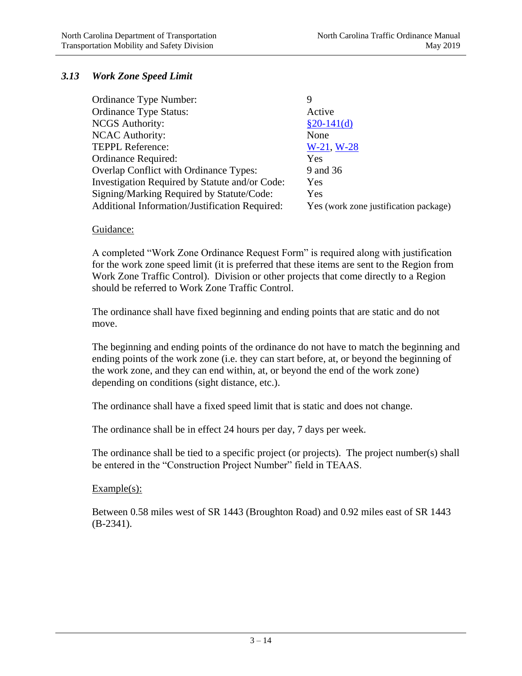# *3.13 Work Zone Speed Limit*

| Ordinance Type Number:                         | 9                                     |
|------------------------------------------------|---------------------------------------|
| <b>Ordinance Type Status:</b>                  | Active                                |
| <b>NCGS</b> Authority:                         | $§20-141(d)$                          |
| <b>NCAC Authority:</b>                         | None                                  |
| <b>TEPPL Reference:</b>                        | $W-21, W-28$                          |
| Ordinance Required:                            | Yes                                   |
| <b>Overlap Conflict with Ordinance Types:</b>  | 9 and 36                              |
| Investigation Required by Statute and/or Code: | Yes                                   |
| Signing/Marking Required by Statute/Code:      | Yes                                   |
| Additional Information/Justification Required: | Yes (work zone justification package) |

#### Guidance:

A completed "Work Zone Ordinance Request Form" is required along with justification for the work zone speed limit (it is preferred that these items are sent to the Region from Work Zone Traffic Control). Division or other projects that come directly to a Region should be referred to Work Zone Traffic Control.

The ordinance shall have fixed beginning and ending points that are static and do not move.

The beginning and ending points of the ordinance do not have to match the beginning and ending points of the work zone (i.e. they can start before, at, or beyond the beginning of the work zone, and they can end within, at, or beyond the end of the work zone) depending on conditions (sight distance, etc.).

The ordinance shall have a fixed speed limit that is static and does not change.

The ordinance shall be in effect 24 hours per day, 7 days per week.

The ordinance shall be tied to a specific project (or projects). The project number(s) shall be entered in the "Construction Project Number" field in TEAAS.

#### Example(s):

Between 0.58 miles west of SR 1443 (Broughton Road) and 0.92 miles east of SR 1443 (B-2341).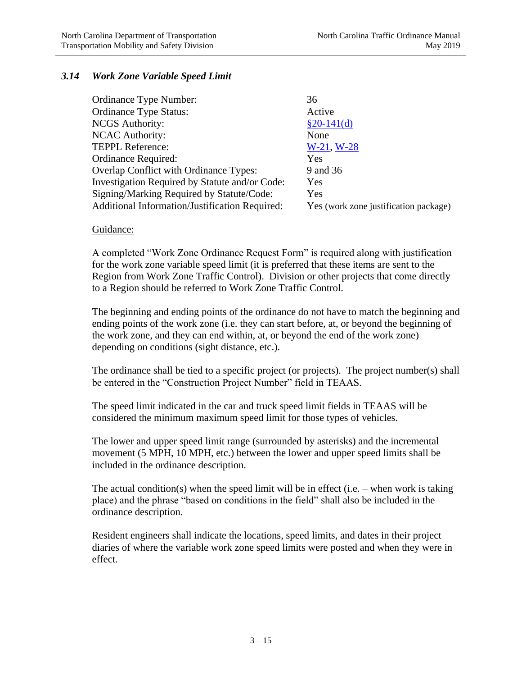# *3.14 Work Zone Variable Speed Limit*

| Ordinance Type Number:                         | 36                                    |
|------------------------------------------------|---------------------------------------|
| <b>Ordinance Type Status:</b>                  | Active                                |
| <b>NCGS</b> Authority:                         | $§20-141(d)$                          |
| <b>NCAC Authority:</b>                         | None                                  |
| <b>TEPPL Reference:</b>                        | $W-21, W-28$                          |
| Ordinance Required:                            | Yes                                   |
| Overlap Conflict with Ordinance Types:         | 9 and 36                              |
| Investigation Required by Statute and/or Code: | Yes                                   |
| Signing/Marking Required by Statute/Code:      | Yes                                   |
| Additional Information/Justification Required: | Yes (work zone justification package) |

### Guidance:

A completed "Work Zone Ordinance Request Form" is required along with justification for the work zone variable speed limit (it is preferred that these items are sent to the Region from Work Zone Traffic Control). Division or other projects that come directly to a Region should be referred to Work Zone Traffic Control.

The beginning and ending points of the ordinance do not have to match the beginning and ending points of the work zone (i.e. they can start before, at, or beyond the beginning of the work zone, and they can end within, at, or beyond the end of the work zone) depending on conditions (sight distance, etc.).

The ordinance shall be tied to a specific project (or projects). The project number(s) shall be entered in the "Construction Project Number" field in TEAAS.

The speed limit indicated in the car and truck speed limit fields in TEAAS will be considered the minimum maximum speed limit for those types of vehicles.

The lower and upper speed limit range (surrounded by asterisks) and the incremental movement (5 MPH, 10 MPH, etc.) between the lower and upper speed limits shall be included in the ordinance description.

The actual condition(s) when the speed limit will be in effect (i.e. – when work is taking place) and the phrase "based on conditions in the field" shall also be included in the ordinance description.

Resident engineers shall indicate the locations, speed limits, and dates in their project diaries of where the variable work zone speed limits were posted and when they were in effect.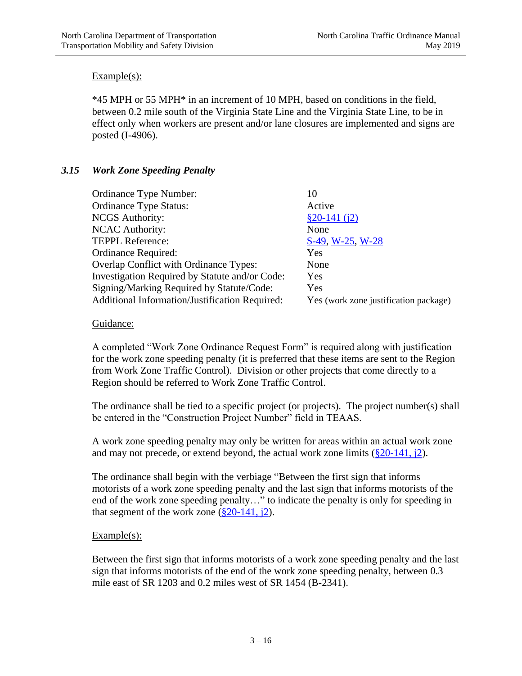\*45 MPH or 55 MPH\* in an increment of 10 MPH, based on conditions in the field, between 0.2 mile south of the Virginia State Line and the Virginia State Line, to be in effect only when workers are present and/or lane closures are implemented and signs are posted (I-4906).

# *3.15 Work Zone Speeding Penalty*

| Ordinance Type Number:                         | 10                                    |
|------------------------------------------------|---------------------------------------|
| <b>Ordinance Type Status:</b>                  | Active                                |
| <b>NCGS</b> Authority:                         | $$20-141(i2)$                         |
| <b>NCAC Authority:</b>                         | None                                  |
| <b>TEPPL Reference:</b>                        | S-49, W-25, W-28                      |
| Ordinance Required:                            | Yes                                   |
| Overlap Conflict with Ordinance Types:         | None                                  |
| Investigation Required by Statute and/or Code: | Yes                                   |
| Signing/Marking Required by Statute/Code:      | Yes                                   |
| Additional Information/Justification Required: | Yes (work zone justification package) |

# Guidance:

A completed "Work Zone Ordinance Request Form" is required along with justification for the work zone speeding penalty (it is preferred that these items are sent to the Region from Work Zone Traffic Control). Division or other projects that come directly to a Region should be referred to Work Zone Traffic Control.

The ordinance shall be tied to a specific project (or projects). The project number(s) shall be entered in the "Construction Project Number" field in TEAAS.

A work zone speeding penalty may only be written for areas within an actual work zone and may not precede, or extend beyond, the actual work zone limits  $(\S 20-141, \S 2)$ .

The ordinance shall begin with the verbiage "Between the first sign that informs motorists of a work zone speeding penalty and the last sign that informs motorists of the end of the work zone speeding penalty…" to indicate the penalty is only for speeding in that segment of the work zone  $(\frac{8}{20} - 141, \frac{1}{2})$ .

### $Example(s)$ :

Between the first sign that informs motorists of a work zone speeding penalty and the last sign that informs motorists of the end of the work zone speeding penalty, between 0.3 mile east of SR 1203 and 0.2 miles west of SR 1454 (B-2341).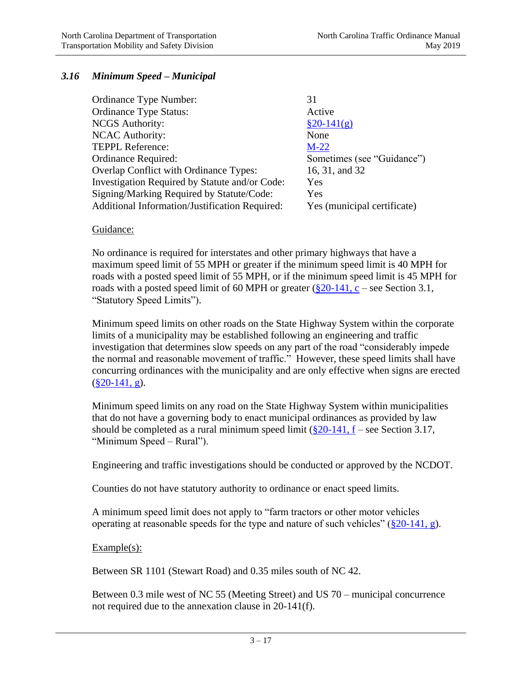# *3.16 Minimum Speed – Municipal*

| Ordinance Type Number:                                | 31                          |
|-------------------------------------------------------|-----------------------------|
| <b>Ordinance Type Status:</b>                         | Active                      |
| <b>NCGS</b> Authority:                                | $§20-141(g)$                |
| <b>NCAC Authority:</b>                                | None                        |
| TEPPL Reference:                                      | $M-22$                      |
| Ordinance Required:                                   | Sometimes (see "Guidance")  |
| <b>Overlap Conflict with Ordinance Types:</b>         | 16, 31, and 32              |
| Investigation Required by Statute and/or Code:        | Yes                         |
| Signing/Marking Required by Statute/Code:             | Yes                         |
| <b>Additional Information/Justification Required:</b> | Yes (municipal certificate) |
|                                                       |                             |

#### Guidance:

No ordinance is required for interstates and other primary highways that have a maximum speed limit of 55 MPH or greater if the minimum speed limit is 40 MPH for roads with a posted speed limit of 55 MPH, or if the minimum speed limit is 45 MPH for roads with a posted speed limit of 60 MPH or greater  $(\frac{8}{20} - 141, c$  – see Section 3.1, "Statutory Speed Limits").

Minimum speed limits on other roads on the State Highway System within the corporate limits of a municipality may be established following an engineering and traffic investigation that determines slow speeds on any part of the road "considerably impede the normal and reasonable movement of traffic." However, these speed limits shall have concurring ordinances with the municipality and are only effective when signs are erected  $(\S 20 - 141, g)$ .

Minimum speed limits on any road on the State Highway System within municipalities that do not have a governing body to enact municipal ordinances as provided by law should be completed as a rural minimum speed limit  $(\frac{820-141}{16}, f - \frac{1}{16}$  Section 3.17, "Minimum Speed – Rural").

Engineering and traffic investigations should be conducted or approved by the NCDOT.

Counties do not have statutory authority to ordinance or enact speed limits.

A minimum speed limit does not apply to "farm tractors or other motor vehicles operating at reasonable speeds for the type and nature of such vehicles"  $(\frac{820-141}{,} g)$ .

### Example(s):

Between SR 1101 (Stewart Road) and 0.35 miles south of NC 42.

Between 0.3 mile west of NC 55 (Meeting Street) and US 70 – municipal concurrence not required due to the annexation clause in 20-141(f).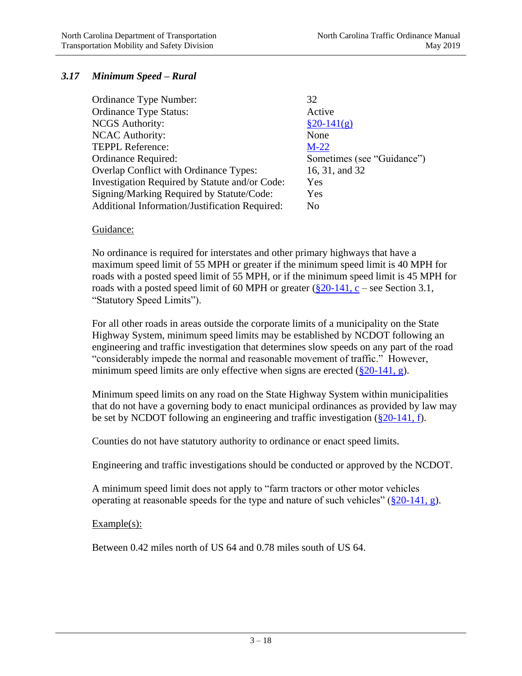# *3.17 Minimum Speed – Rural*

| <b>Ordinance Type Status:</b><br>Active                          |  |
|------------------------------------------------------------------|--|
| <b>NCGS</b> Authority:<br>$\frac{820 - 141(g)}{g}$               |  |
| <b>NCAC Authority:</b><br>None                                   |  |
| <b>TEPPL Reference:</b><br>$M-22$                                |  |
| Sometimes (see "Guidance")<br>Ordinance Required:                |  |
| <b>Overlap Conflict with Ordinance Types:</b><br>16, 31, and 32  |  |
| Investigation Required by Statute and/or Code:<br>Yes            |  |
| Signing/Marking Required by Statute/Code:<br>Yes                 |  |
| Additional Information/Justification Required:<br>N <sub>0</sub> |  |

#### Guidance:

No ordinance is required for interstates and other primary highways that have a maximum speed limit of 55 MPH or greater if the minimum speed limit is 40 MPH for roads with a posted speed limit of 55 MPH, or if the minimum speed limit is 45 MPH for roads with a posted speed limit of 60 MPH or greater  $(\S 20-141, c$  – see Section 3.1, "Statutory Speed Limits").

For all other roads in areas outside the corporate limits of a municipality on the State Highway System, minimum speed limits may be established by NCDOT following an engineering and traffic investigation that determines slow speeds on any part of the road "considerably impede the normal and reasonable movement of traffic." However, minimum speed limits are only effective when signs are erected  $(\frac{820-141}{9})$ .

Minimum speed limits on any road on the State Highway System within municipalities that do not have a governing body to enact municipal ordinances as provided by law may be set by NCDOT following an engineering and traffic investigation  $(\frac{820-141}{\hbar})$ .

Counties do not have statutory authority to ordinance or enact speed limits.

Engineering and traffic investigations should be conducted or approved by the NCDOT.

A minimum speed limit does not apply to "farm tractors or other motor vehicles operating at reasonable speeds for the type and nature of such vehicles"  $(\frac{820-141}{9})$ .

#### Example(s):

Between 0.42 miles north of US 64 and 0.78 miles south of US 64.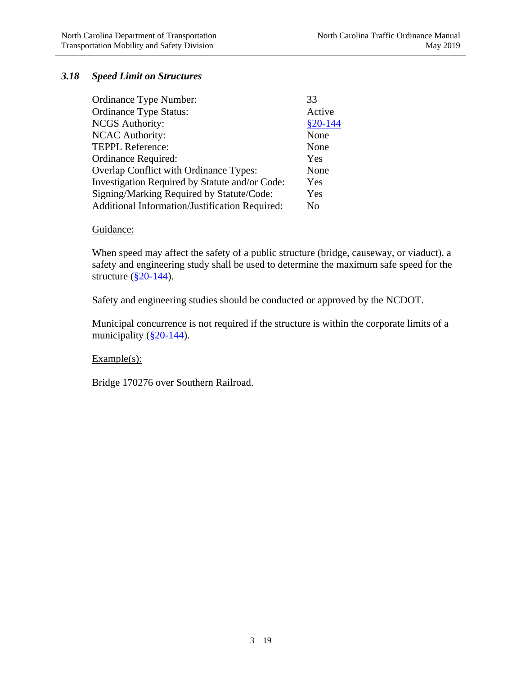# *3.18 Speed Limit on Structures*

| Ordinance Type Number:                         | 33        |
|------------------------------------------------|-----------|
| <b>Ordinance Type Status:</b>                  | Active    |
| <b>NCGS</b> Authority:                         | $$20-144$ |
| <b>NCAC Authority:</b>                         | None      |
| <b>TEPPL Reference:</b>                        | None      |
| Ordinance Required:                            | Yes       |
| Overlap Conflict with Ordinance Types:         | None      |
| Investigation Required by Statute and/or Code: | Yes       |
| Signing/Marking Required by Statute/Code:      | Yes       |
| Additional Information/Justification Required: | No        |

### Guidance:

When speed may affect the safety of a public structure (bridge, causeway, or viaduct), a safety and engineering study shall be used to determine the maximum safe speed for the structure  $(\S 20 - 144)$ .

Safety and engineering studies should be conducted or approved by the NCDOT.

Municipal concurrence is not required if the structure is within the corporate limits of a municipality  $(\frac{820-144}{8})$ .

### $Example(s)$ :

Bridge 170276 over Southern Railroad.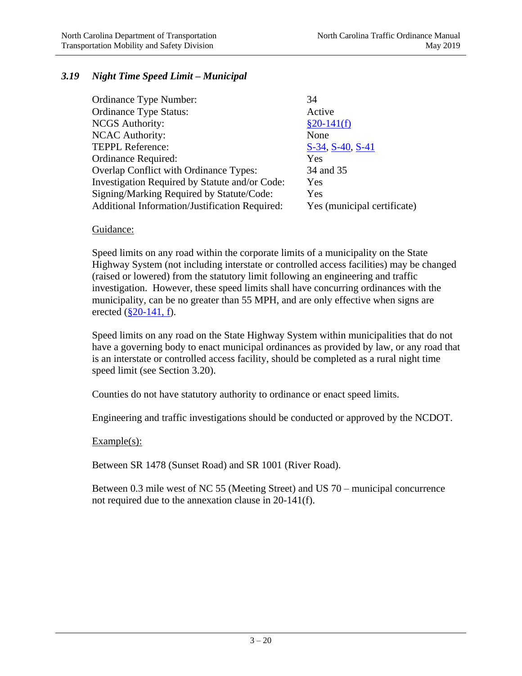# *3.19 Night Time Speed Limit – Municipal*

| Ordinance Type Number:                         | 34                          |
|------------------------------------------------|-----------------------------|
| <b>Ordinance Type Status:</b>                  | Active                      |
| <b>NCGS</b> Authority:                         | $§20-141(f)$                |
| <b>NCAC Authority:</b>                         | None                        |
| <b>TEPPL Reference:</b>                        | S-34, S-40, S-41            |
| Ordinance Required:                            | Yes                         |
| Overlap Conflict with Ordinance Types:         | 34 and 35                   |
| Investigation Required by Statute and/or Code: | Yes                         |
| Signing/Marking Required by Statute/Code:      | Yes                         |
| Additional Information/Justification Required: | Yes (municipal certificate) |
|                                                |                             |

### Guidance:

Speed limits on any road within the corporate limits of a municipality on the State Highway System (not including interstate or controlled access facilities) may be changed (raised or lowered) from the statutory limit following an engineering and traffic investigation. However, these speed limits shall have concurring ordinances with the municipality, can be no greater than 55 MPH, and are only effective when signs are erected  $(\S 20 - 141, f)$ .

Speed limits on any road on the State Highway System within municipalities that do not have a governing body to enact municipal ordinances as provided by law, or any road that is an interstate or controlled access facility, should be completed as a rural night time speed limit (see Section 3.20).

Counties do not have statutory authority to ordinance or enact speed limits.

Engineering and traffic investigations should be conducted or approved by the NCDOT.

### Example(s):

Between SR 1478 (Sunset Road) and SR 1001 (River Road).

Between 0.3 mile west of NC 55 (Meeting Street) and US 70 – municipal concurrence not required due to the annexation clause in 20-141(f).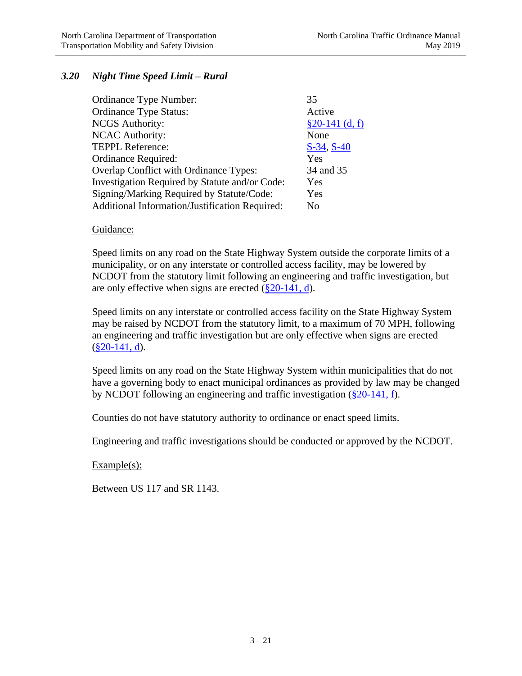### *3.20 Night Time Speed Limit – Rural*

| Ordinance Type Number:                         | 35               |
|------------------------------------------------|------------------|
| <b>Ordinance Type Status:</b>                  | Active           |
| <b>NCGS</b> Authority:                         | $§20-141$ (d, f) |
| <b>NCAC Authority:</b>                         | None             |
| <b>TEPPL Reference:</b>                        | $S-34, S-40$     |
| Ordinance Required:                            | Yes              |
| Overlap Conflict with Ordinance Types:         | 34 and 35        |
| Investigation Required by Statute and/or Code: | Yes              |
| Signing/Marking Required by Statute/Code:      | Yes              |
| Additional Information/Justification Required: | No               |

#### Guidance:

Speed limits on any road on the State Highway System outside the corporate limits of a municipality, or on any interstate or controlled access facility, may be lowered by NCDOT from the statutory limit following an engineering and traffic investigation, but are only effective when signs are erected  $(\frac{820-141}{, d})$ .

Speed limits on any interstate or controlled access facility on the State Highway System may be raised by NCDOT from the statutory limit, to a maximum of 70 MPH, following an engineering and traffic investigation but are only effective when signs are erected  $(\$20-141, d)$ .

Speed limits on any road on the State Highway System within municipalities that do not have a governing body to enact municipal ordinances as provided by law may be changed by NCDOT following an engineering and traffic investigation [\(§20-141, f\)](http://www.ncleg.net/gascripts/statutes/statutelookup.pl?statute=20-141).

Counties do not have statutory authority to ordinance or enact speed limits.

Engineering and traffic investigations should be conducted or approved by the NCDOT.

Example(s):

Between US 117 and SR 1143.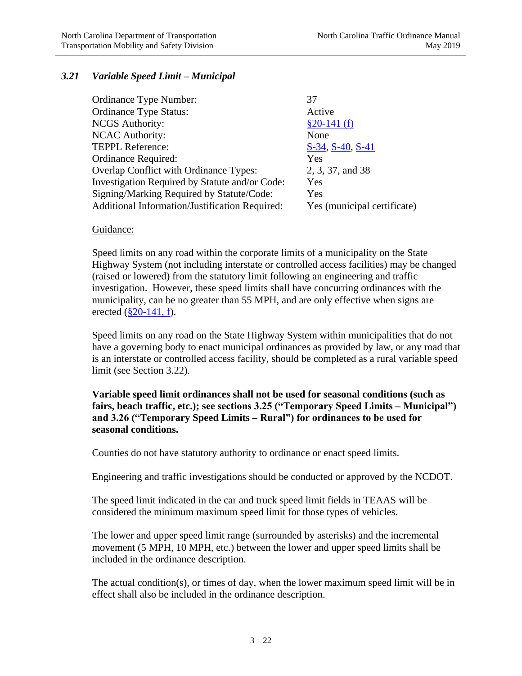# *3.21 Variable Speed Limit – Municipal*

| Ordinance Type Number:                         | 37                          |
|------------------------------------------------|-----------------------------|
| <b>Ordinance Type Status:</b>                  | Active                      |
| <b>NCGS</b> Authority:                         | $$20-141(f)$                |
| <b>NCAC Authority:</b>                         | None                        |
| <b>TEPPL Reference:</b>                        | S-34, S-40, S-41            |
| Ordinance Required:                            | Yes                         |
| Overlap Conflict with Ordinance Types:         | 2, 3, 37, and 38            |
| Investigation Required by Statute and/or Code: | Yes                         |
| Signing/Marking Required by Statute/Code:      | Yes                         |
| Additional Information/Justification Required: | Yes (municipal certificate) |
|                                                |                             |

### Guidance:

Speed limits on any road within the corporate limits of a municipality on the State Highway System (not including interstate or controlled access facilities) may be changed (raised or lowered) from the statutory limit following an engineering and traffic investigation. However, these speed limits shall have concurring ordinances with the municipality, can be no greater than 55 MPH, and are only effective when signs are erected  $(\S 20 - 141, f)$ .

Speed limits on any road on the State Highway System within municipalities that do not have a governing body to enact municipal ordinances as provided by law, or any road that is an interstate or controlled access facility, should be completed as a rural variable speed limit (see Section 3.22).

**Variable speed limit ordinances shall not be used for seasonal conditions (such as fairs, beach traffic, etc.); see sections 3.25 ("Temporary Speed Limits – Municipal") and 3.26 ("Temporary Speed Limits – Rural") for ordinances to be used for seasonal conditions.**

Counties do not have statutory authority to ordinance or enact speed limits.

Engineering and traffic investigations should be conducted or approved by the NCDOT.

The speed limit indicated in the car and truck speed limit fields in TEAAS will be considered the minimum maximum speed limit for those types of vehicles.

The lower and upper speed limit range (surrounded by asterisks) and the incremental movement (5 MPH, 10 MPH, etc.) between the lower and upper speed limits shall be included in the ordinance description.

The actual condition(s), or times of day, when the lower maximum speed limit will be in effect shall also be included in the ordinance description.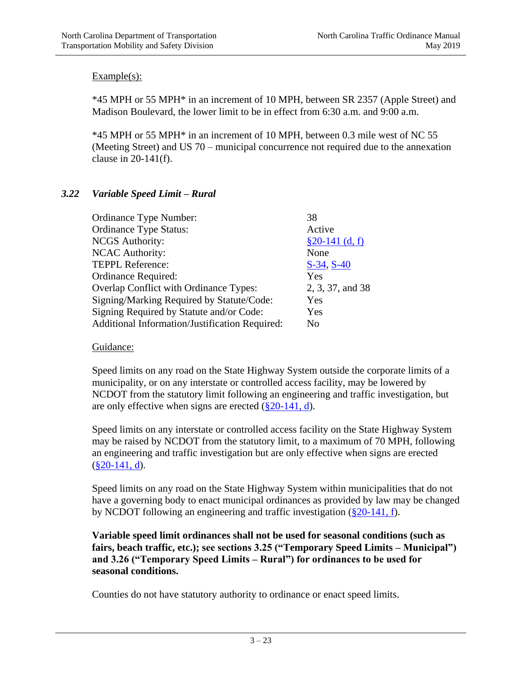\*45 MPH or 55 MPH\* in an increment of 10 MPH, between SR 2357 (Apple Street) and Madison Boulevard, the lower limit to be in effect from 6:30 a.m. and 9:00 a.m.

\*45 MPH or 55 MPH\* in an increment of 10 MPH, between 0.3 mile west of NC 55 (Meeting Street) and US 70 – municipal concurrence not required due to the annexation clause in  $20-141(f)$ .

# *3.22 Variable Speed Limit – Rural*

| 38               |
|------------------|
| Active           |
| $§20-141$ (d, f) |
| None             |
| $S-34, S-40$     |
| Yes              |
| 2, 3, 37, and 38 |
| Yes              |
| Yes              |
| No               |
|                  |

### Guidance:

Speed limits on any road on the State Highway System outside the corporate limits of a municipality, or on any interstate or controlled access facility, may be lowered by NCDOT from the statutory limit following an engineering and traffic investigation, but are only effective when signs are erected  $(\frac{8}{20} - 141, d)$ .

Speed limits on any interstate or controlled access facility on the State Highway System may be raised by NCDOT from the statutory limit, to a maximum of 70 MPH, following an engineering and traffic investigation but are only effective when signs are erected  $(\$20-141, d)$ .

Speed limits on any road on the State Highway System within municipalities that do not have a governing body to enact municipal ordinances as provided by law may be changed by NCDOT following an engineering and traffic investigation [\(§20-141, f\)](http://www.ncleg.net/gascripts/statutes/statutelookup.pl?statute=20-141).

**Variable speed limit ordinances shall not be used for seasonal conditions (such as fairs, beach traffic, etc.); see sections 3.25 ("Temporary Speed Limits – Municipal") and 3.26 ("Temporary Speed Limits – Rural") for ordinances to be used for seasonal conditions.**

Counties do not have statutory authority to ordinance or enact speed limits.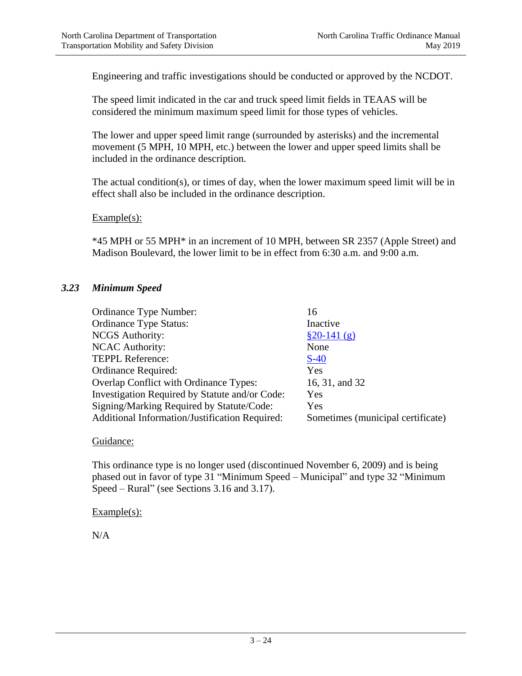Engineering and traffic investigations should be conducted or approved by the NCDOT.

The speed limit indicated in the car and truck speed limit fields in TEAAS will be considered the minimum maximum speed limit for those types of vehicles.

The lower and upper speed limit range (surrounded by asterisks) and the incremental movement (5 MPH, 10 MPH, etc.) between the lower and upper speed limits shall be included in the ordinance description.

The actual condition(s), or times of day, when the lower maximum speed limit will be in effect shall also be included in the ordinance description.

Example(s):

\*45 MPH or 55 MPH\* in an increment of 10 MPH, between SR 2357 (Apple Street) and Madison Boulevard, the lower limit to be in effect from 6:30 a.m. and 9:00 a.m.

#### *3.23 Minimum Speed*

| Ordinance Type Number:                         | 16                                |
|------------------------------------------------|-----------------------------------|
| <b>Ordinance Type Status:</b>                  | Inactive                          |
| <b>NCGS</b> Authority:                         | $$20-141(g)$                      |
| <b>NCAC Authority:</b>                         | None                              |
| <b>TEPPL Reference:</b>                        | $S-40$                            |
| Ordinance Required:                            | Yes                               |
| Overlap Conflict with Ordinance Types:         | 16, 31, and 32                    |
| Investigation Required by Statute and/or Code: | Yes                               |
| Signing/Marking Required by Statute/Code:      | Yes                               |
| Additional Information/Justification Required: | Sometimes (municipal certificate) |

#### Guidance:

This ordinance type is no longer used (discontinued November 6, 2009) and is being phased out in favor of type 31 "Minimum Speed – Municipal" and type 32 "Minimum Speed – Rural" (see Sections 3.16 and 3.17).

#### Example(s):

N/A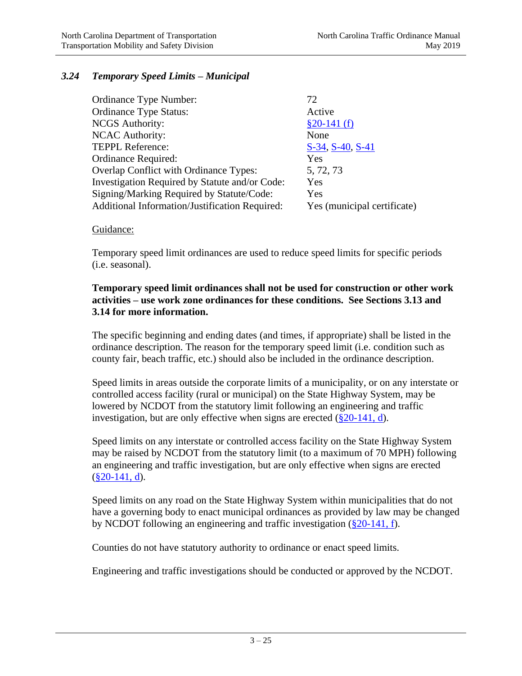# *3.24 Temporary Speed Limits – Municipal*

| Ordinance Type Number:                         | 72                          |
|------------------------------------------------|-----------------------------|
| <b>Ordinance Type Status:</b>                  | Active                      |
| <b>NCGS</b> Authority:                         | $$20-141(f)$                |
| <b>NCAC Authority:</b>                         | None                        |
| <b>TEPPL Reference:</b>                        | S-34, S-40, S-41            |
| Ordinance Required:                            | Yes                         |
| Overlap Conflict with Ordinance Types:         | 5, 72, 73                   |
| Investigation Required by Statute and/or Code: | Yes                         |
| Signing/Marking Required by Statute/Code:      | Yes                         |
| Additional Information/Justification Required: | Yes (municipal certificate) |

#### Guidance:

Temporary speed limit ordinances are used to reduce speed limits for specific periods (i.e. seasonal).

### **Temporary speed limit ordinances shall not be used for construction or other work activities – use work zone ordinances for these conditions. See Sections 3.13 and 3.14 for more information.**

The specific beginning and ending dates (and times, if appropriate) shall be listed in the ordinance description. The reason for the temporary speed limit (i.e. condition such as county fair, beach traffic, etc.) should also be included in the ordinance description.

Speed limits in areas outside the corporate limits of a municipality, or on any interstate or controlled access facility (rural or municipal) on the State Highway System, may be lowered by NCDOT from the statutory limit following an engineering and traffic investigation, but are only effective when signs are erected  $(\frac{820-141}{, d})$ .

Speed limits on any interstate or controlled access facility on the State Highway System may be raised by NCDOT from the statutory limit (to a maximum of 70 MPH) following an engineering and traffic investigation, but are only effective when signs are erected  $(\$20-141, d)$ .

Speed limits on any road on the State Highway System within municipalities that do not have a governing body to enact municipal ordinances as provided by law may be changed by NCDOT following an engineering and traffic investigation [\(§20-141, f\)](http://www.ncleg.net/gascripts/statutes/statutelookup.pl?statute=20-141).

Counties do not have statutory authority to ordinance or enact speed limits.

Engineering and traffic investigations should be conducted or approved by the NCDOT.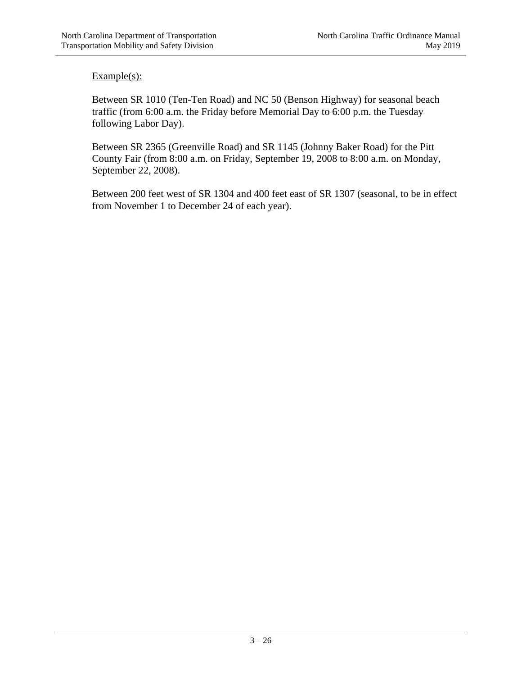Between SR 1010 (Ten-Ten Road) and NC 50 (Benson Highway) for seasonal beach traffic (from 6:00 a.m. the Friday before Memorial Day to 6:00 p.m. the Tuesday following Labor Day).

Between SR 2365 (Greenville Road) and SR 1145 (Johnny Baker Road) for the Pitt County Fair (from 8:00 a.m. on Friday, September 19, 2008 to 8:00 a.m. on Monday, September 22, 2008).

Between 200 feet west of SR 1304 and 400 feet east of SR 1307 (seasonal, to be in effect from November 1 to December 24 of each year).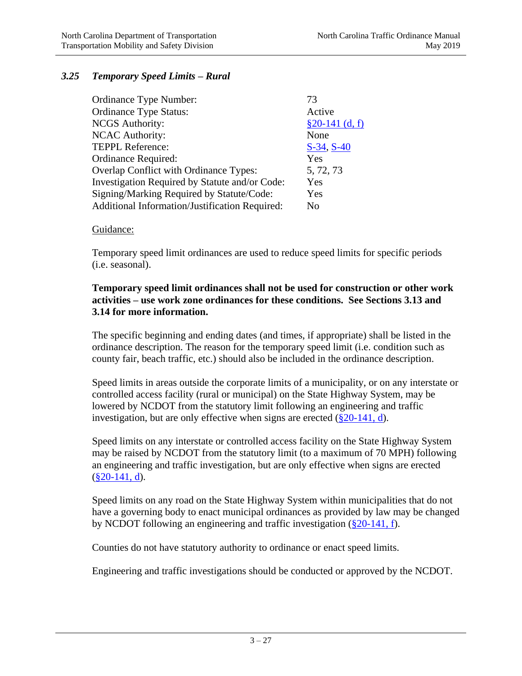### *3.25 Temporary Speed Limits – Rural*

| Ordinance Type Number:                         | 73               |
|------------------------------------------------|------------------|
| <b>Ordinance Type Status:</b>                  | Active           |
| <b>NCGS</b> Authority:                         | $§20-141$ (d, f) |
| <b>NCAC Authority:</b>                         | None             |
| <b>TEPPL Reference:</b>                        | $S-34, S-40$     |
| Ordinance Required:                            | Yes              |
| Overlap Conflict with Ordinance Types:         | 5, 72, 73        |
| Investigation Required by Statute and/or Code: | Yes              |
| Signing/Marking Required by Statute/Code:      | Yes              |
| Additional Information/Justification Required: | No               |

#### Guidance:

Temporary speed limit ordinances are used to reduce speed limits for specific periods (i.e. seasonal).

### **Temporary speed limit ordinances shall not be used for construction or other work activities – use work zone ordinances for these conditions. See Sections 3.13 and 3.14 for more information.**

The specific beginning and ending dates (and times, if appropriate) shall be listed in the ordinance description. The reason for the temporary speed limit (i.e. condition such as county fair, beach traffic, etc.) should also be included in the ordinance description.

Speed limits in areas outside the corporate limits of a municipality, or on any interstate or controlled access facility (rural or municipal) on the State Highway System, may be lowered by NCDOT from the statutory limit following an engineering and traffic investigation, but are only effective when signs are erected  $(\frac{820-141}{, d})$ .

Speed limits on any interstate or controlled access facility on the State Highway System may be raised by NCDOT from the statutory limit (to a maximum of 70 MPH) following an engineering and traffic investigation, but are only effective when signs are erected  $(\$20-141, d)$ .

Speed limits on any road on the State Highway System within municipalities that do not have a governing body to enact municipal ordinances as provided by law may be changed by NCDOT following an engineering and traffic investigation [\(§20-141, f\)](http://www.ncleg.net/gascripts/statutes/statutelookup.pl?statute=20-141).

Counties do not have statutory authority to ordinance or enact speed limits.

Engineering and traffic investigations should be conducted or approved by the NCDOT.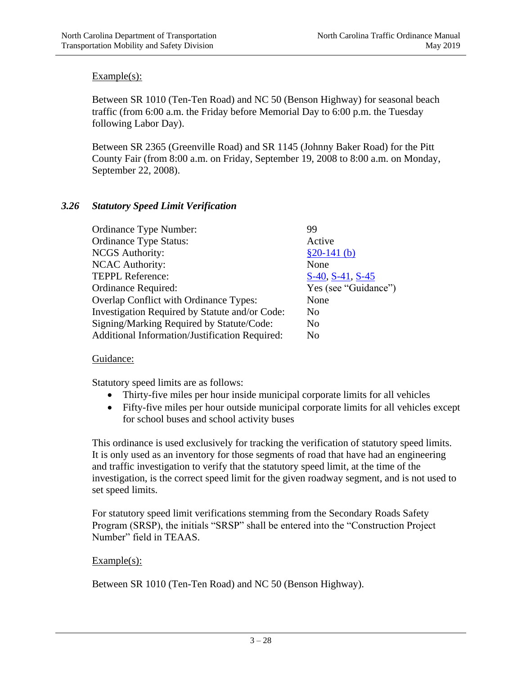Between SR 1010 (Ten-Ten Road) and NC 50 (Benson Highway) for seasonal beach traffic (from 6:00 a.m. the Friday before Memorial Day to 6:00 p.m. the Tuesday following Labor Day).

Between SR 2365 (Greenville Road) and SR 1145 (Johnny Baker Road) for the Pitt County Fair (from 8:00 a.m. on Friday, September 19, 2008 to 8:00 a.m. on Monday, September 22, 2008).

# *3.26 Statutory Speed Limit Verification*

| Ordinance Type Number:                         | 99                   |
|------------------------------------------------|----------------------|
| <b>Ordinance Type Status:</b>                  | Active               |
| <b>NCGS</b> Authority:                         | $$20-141(b)$         |
| <b>NCAC Authority:</b>                         | None                 |
| <b>TEPPL Reference:</b>                        | S-40, S-41, S-45     |
| Ordinance Required:                            | Yes (see "Guidance") |
| <b>Overlap Conflict with Ordinance Types:</b>  | None                 |
| Investigation Required by Statute and/or Code: | N <sub>0</sub>       |
| Signing/Marking Required by Statute/Code:      | N <sub>0</sub>       |
| Additional Information/Justification Required: | N <sub>0</sub>       |

### Guidance:

Statutory speed limits are as follows:

- Thirty-five miles per hour inside municipal corporate limits for all vehicles
- Fifty-five miles per hour outside municipal corporate limits for all vehicles except for school buses and school activity buses

This ordinance is used exclusively for tracking the verification of statutory speed limits. It is only used as an inventory for those segments of road that have had an engineering and traffic investigation to verify that the statutory speed limit, at the time of the investigation, is the correct speed limit for the given roadway segment, and is not used to set speed limits.

For statutory speed limit verifications stemming from the Secondary Roads Safety Program (SRSP), the initials "SRSP" shall be entered into the "Construction Project Number" field in TEAAS.

### Example(s):

Between SR 1010 (Ten-Ten Road) and NC 50 (Benson Highway).